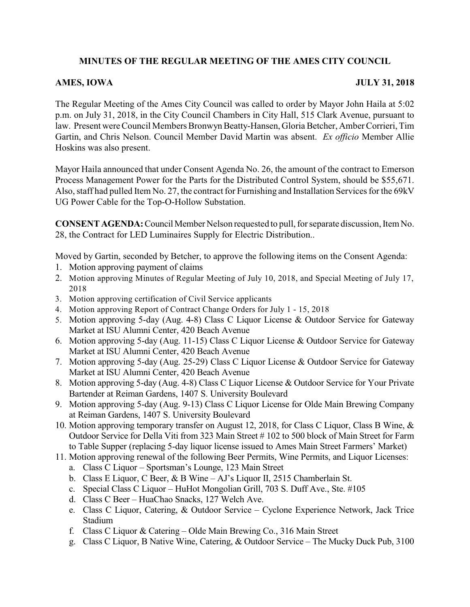# **MINUTES OF THE REGULAR MEETING OF THE AMES CITY COUNCIL**

## **AMES, IOWA JULY 31, 2018**

The Regular Meeting of the Ames City Council was called to order by Mayor John Haila at 5:02 p.m. on July 31, 2018, in the City Council Chambers in City Hall, 515 Clark Avenue, pursuant to law. Present were Council Members Bronwyn Beatty-Hansen, Gloria Betcher, Amber Corrieri, Tim Gartin, and Chris Nelson. Council Member David Martin was absent. *Ex officio* Member Allie Hoskins was also present.

Mayor Haila announced that under Consent Agenda No. 26, the amount of the contract to Emerson Process Management Power for the Parts for the Distributed Control System, should be \$55,671. Also, staff had pulled Item No. 27, the contract for Furnishing and Installation Services for the 69kV UG Power Cable for the Top-O-Hollow Substation.

**CONSENT AGENDA:** Council Member Nelson requested to pull, for separate discussion, Item No. 28, the Contract for LED Luminaires Supply for Electric Distribution..

Moved by Gartin, seconded by Betcher, to approve the following items on the Consent Agenda:

- 1. Motion approving payment of claims
- 2. Motion approving Minutes of Regular Meeting of July 10, 2018, and Special Meeting of July 17, 2018
- 3. Motion approving certification of Civil Service applicants
- 4. Motion approving Report of Contract Change Orders for July 1 15, 2018
- 5. Motion approving 5-day (Aug. 4-8) Class C Liquor License & Outdoor Service for Gateway Market at ISU Alumni Center, 420 Beach Avenue
- 6. Motion approving 5-day (Aug. 11-15) Class C Liquor License & Outdoor Service for Gateway Market at ISU Alumni Center, 420 Beach Avenue
- 7. Motion approving 5-day (Aug. 25-29) Class C Liquor License & Outdoor Service for Gateway Market at ISU Alumni Center, 420 Beach Avenue
- 8. Motion approving 5-day (Aug. 4-8) Class C Liquor License & Outdoor Service for Your Private Bartender at Reiman Gardens, 1407 S. University Boulevard
- 9. Motion approving 5-day (Aug. 9-13) Class C Liquor License for Olde Main Brewing Company at Reiman Gardens, 1407 S. University Boulevard
- 10. Motion approving temporary transfer on August 12, 2018, for Class C Liquor, Class B Wine, & Outdoor Service for Della Viti from 323 Main Street # 102 to 500 block of Main Street for Farm to Table Supper (replacing 5-day liquor license issued to Ames Main Street Farmers' Market)
- 11. Motion approving renewal of the following Beer Permits, Wine Permits, and Liquor Licenses:
	- a. Class C Liquor Sportsman's Lounge, 123 Main Street
	- b. Class E Liquor, C Beer, & B Wine AJ's Liquor II, 2515 Chamberlain St.
	- c. Special Class C Liquor HuHot Mongolian Grill, 703 S. Duff Ave., Ste. #105
	- d. Class C Beer HuaChao Snacks, 127 Welch Ave.
	- e. Class C Liquor, Catering, & Outdoor Service Cyclone Experience Network, Jack Trice Stadium
	- f. Class C Liquor & Catering Olde Main Brewing Co., 316 Main Street
	- g. Class C Liquor, B Native Wine, Catering, & Outdoor Service The Mucky Duck Pub, 3100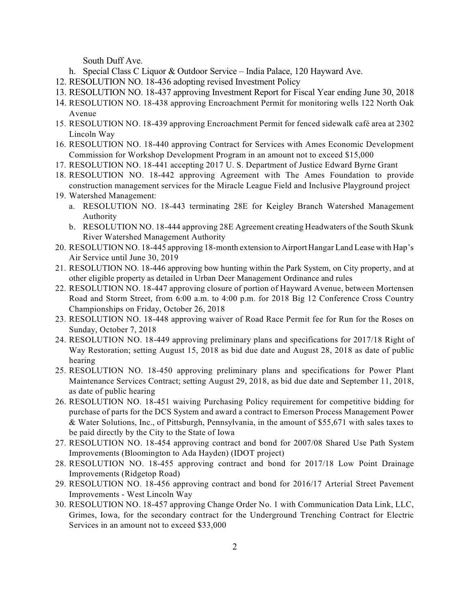South Duff Ave.

- h. Special Class C Liquor & Outdoor Service India Palace, 120 Hayward Ave.
- 12. RESOLUTION NO. 18-436 adopting revised Investment Policy
- 13. RESOLUTION NO. 18-437 approving Investment Report for Fiscal Year ending June 30, 2018
- 14. RESOLUTION NO. 18-438 approving Encroachment Permit for monitoring wells 122 North Oak Avenue
- 15. RESOLUTION NO. 18-439 approving Encroachment Permit for fenced sidewalk café area at 2302 Lincoln Way
- 16. RESOLUTION NO. 18-440 approving Contract for Services with Ames Economic Development Commission for Workshop Development Program in an amount not to exceed \$15,000
- 17. RESOLUTION NO. 18-441 accepting 2017 U. S. Department of Justice Edward Byrne Grant
- 18. RESOLUTION NO. 18-442 approving Agreement with The Ames Foundation to provide construction management services for the Miracle League Field and Inclusive Playground project
- 19. Watershed Management:
	- a. RESOLUTION NO. 18-443 terminating 28E for Keigley Branch Watershed Management Authority
	- b. RESOLUTION NO. 18-444 approving 28E Agreement creating Headwaters of the South Skunk River Watershed Management Authority
- 20. RESOLUTION NO. 18-445 approving 18-month extension to AirportHangar Land Lease with Hap's Air Service until June 30, 2019
- 21. RESOLUTION NO. 18-446 approving bow hunting within the Park System, on City property, and at other eligible property as detailed in Urban Deer Management Ordinance and rules
- 22. RESOLUTION NO. 18-447 approving closure of portion of Hayward Avenue, between Mortensen Road and Storm Street, from 6:00 a.m. to 4:00 p.m. for 2018 Big 12 Conference Cross Country Championships on Friday, October 26, 2018
- 23. RESOLUTION NO. 18-448 approving waiver of Road Race Permit fee for Run for the Roses on Sunday, October 7, 2018
- 24. RESOLUTION NO. 18-449 approving preliminary plans and specifications for 2017/18 Right of Way Restoration; setting August 15, 2018 as bid due date and August 28, 2018 as date of public hearing
- 25. RESOLUTION NO. 18-450 approving preliminary plans and specifications for Power Plant Maintenance Services Contract; setting August 29, 2018, as bid due date and September 11, 2018, as date of public hearing
- 26. RESOLUTION NO. 18-451 waiving Purchasing Policy requirement for competitive bidding for purchase of parts for the DCS System and award a contract to Emerson Process Management Power & Water Solutions, Inc., of Pittsburgh, Pennsylvania, in the amount of \$55,671 with sales taxes to be paid directly by the City to the State of Iowa
- 27. RESOLUTION NO. 18-454 approving contract and bond for 2007/08 Shared Use Path System Improvements (Bloomington to Ada Hayden) (IDOT project)
- 28. RESOLUTION NO. 18-455 approving contract and bond for 2017/18 Low Point Drainage Improvements (Ridgetop Road)
- 29. RESOLUTION NO. 18-456 approving contract and bond for 2016/17 Arterial Street Pavement Improvements - West Lincoln Way
- 30. RESOLUTION NO. 18-457 approving Change Order No. 1 with Communication Data Link, LLC, Grimes, Iowa, for the secondary contract for the Underground Trenching Contract for Electric Services in an amount not to exceed \$33,000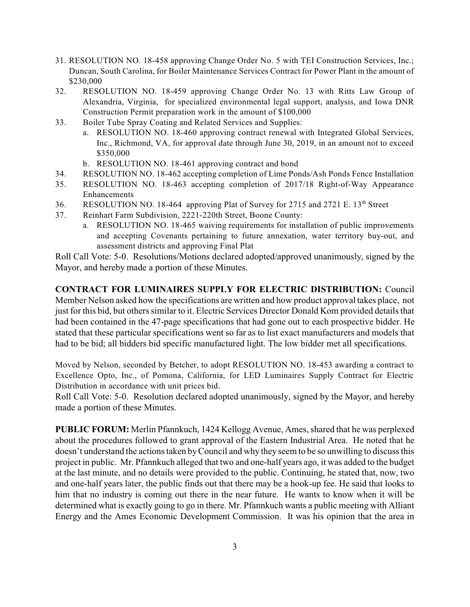- 31. RESOLUTION NO. 18-458 approving Change Order No. 5 with TEI Construction Services, Inc.; Duncan, South Carolina, for Boiler Maintenance Services Contract for Power Plant in the amount of \$230,000
- 32. RESOLUTION NO. 18-459 approving Change Order No. 13 with Ritts Law Group of Alexandria, Virginia, for specialized environmental legal support, analysis, and Iowa DNR Construction Permit preparation work in the amount of \$100,000
- 33. Boiler Tube Spray Coating and Related Services and Supplies:
	- a. RESOLUTION NO. 18-460 approving contract renewal with Integrated Global Services, Inc., Richmond, VA, for approval date through June 30, 2019, in an amount not to exceed \$350,000
	- b. RESOLUTION NO. 18-461 approving contract and bond
- 34. RESOLUTION NO. 18-462 accepting completion of Lime Ponds/Ash Ponds Fence Installation
- 35. RESOLUTION NO. 18-463 accepting completion of 2017/18 Right-of-Way Appearance Enhancements
- 36. RESOLUTION NO. 18-464 approving Plat of Survey for 2715 and 2721 E. 13<sup>th</sup> Street
- 37. Reinhart Farm Subdivision, 2221-220th Street, Boone County:
	- a. RESOLUTION NO. 18-465 waiving requirements for installation of public improvements and accepting Covenants pertaining to future annexation, water territory buy-out, and assessment districts and approving Final Plat

Roll Call Vote: 5-0. Resolutions/Motions declared adopted/approved unanimously, signed by the Mayor, and hereby made a portion of these Minutes.

**CONTRACT FOR LUMINAIRES SUPPLY FOR ELECTRIC DISTRIBUTION:** Council Member Nelson asked how the specifications are written and how product approval takes place, not just for this bid, but others similar to it. Electric Services Director Donald Kom provided details that had been contained in the 47-page specifications that had gone out to each prospective bidder. He stated that these particular specifications went so far as to list exact manufacturers and models that had to be bid; all bidders bid specific manufactured light. The low bidder met all specifications.

Moved by Nelson, seconded by Betcher, to adopt RESOLUTION NO. 18-453 awarding a contract to Excellence Opto, Inc., of Pomona, California, for LED Luminaires Supply Contract for Electric Distribution in accordance with unit prices bid.

Roll Call Vote: 5-0. Resolution declared adopted unanimously, signed by the Mayor, and hereby made a portion of these Minutes.

**PUBLIC FORUM:** Merlin Pfannkuch, 1424 Kellogg Avenue, Ames, shared that he was perplexed about the procedures followed to grant approval of the Eastern Industrial Area. He noted that he doesn't understand the actions taken byCouncil and why they seem to be so unwilling to discuss this project in public. Mr. Pfannkuch alleged that two and one-half years ago, it was added to the budget at the last minute, and no details were provided to the public. Continuing, he stated that, now, two and one-half years later, the public finds out that there may be a hook-up fee. He said that looks to him that no industry is coming out there in the near future. He wants to know when it will be determined what is exactly going to go in there. Mr. Pfannkuch wants a public meeting with Alliant Energy and the Ames Economic Development Commission. It was his opinion that the area in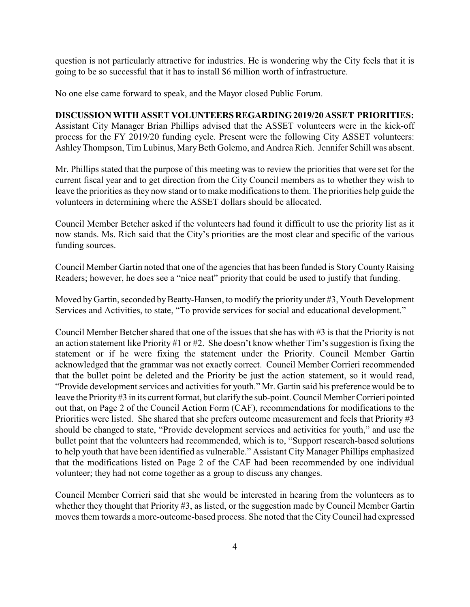question is not particularly attractive for industries. He is wondering why the City feels that it is going to be so successful that it has to install \$6 million worth of infrastructure.

No one else came forward to speak, and the Mayor closed Public Forum.

### **DISCUSSION WITH ASSET VOLUNTEERSREGARDING2019/20 ASSET PRIORITIES:**

Assistant City Manager Brian Phillips advised that the ASSET volunteers were in the kick-off process for the FY 2019/20 funding cycle. Present were the following City ASSET volunteers: Ashley Thompson, Tim Lubinus, Mary Beth Golemo, and Andrea Rich. Jennifer Schill was absent.

Mr. Phillips stated that the purpose of this meeting was to review the priorities that were set for the current fiscal year and to get direction from the City Council members as to whether they wish to leave the priorities as they now stand or to make modifications to them. The priorities help guide the volunteers in determining where the ASSET dollars should be allocated.

Council Member Betcher asked if the volunteers had found it difficult to use the priority list as it now stands. Ms. Rich said that the City's priorities are the most clear and specific of the various funding sources.

Council Member Gartin noted that one of the agencies that has been funded is StoryCountyRaising Readers; however, he does see a "nice neat" priority that could be used to justify that funding.

Moved by Gartin, seconded by Beatty-Hansen, to modify the priority under #3, Youth Development Services and Activities, to state, "To provide services for social and educational development."

Council Member Betcher shared that one of the issues that she has with #3 is that the Priority is not an action statement like Priority #1 or #2. She doesn't know whether Tim's suggestion is fixing the statement or if he were fixing the statement under the Priority. Council Member Gartin acknowledged that the grammar was not exactly correct. Council Member Corrieri recommended that the bullet point be deleted and the Priority be just the action statement, so it would read, "Provide development services and activities for youth." Mr. Gartin said his preference would be to leave the Priority #3 in its current format, but clarify the sub-point. Council Member Corrieri pointed out that, on Page 2 of the Council Action Form (CAF), recommendations for modifications to the Priorities were listed. She shared that she prefers outcome measurement and feels that Priority #3 should be changed to state, "Provide development services and activities for youth," and use the bullet point that the volunteers had recommended, which is to, "Support research-based solutions to help youth that have been identified as vulnerable." Assistant City Manager Phillips emphasized that the modifications listed on Page 2 of the CAF had been recommended by one individual volunteer; they had not come together as a group to discuss any changes.

Council Member Corrieri said that she would be interested in hearing from the volunteers as to whether they thought that Priority #3, as listed, or the suggestion made by Council Member Gartin moves them towards a more-outcome-based process. She noted that the CityCouncil had expressed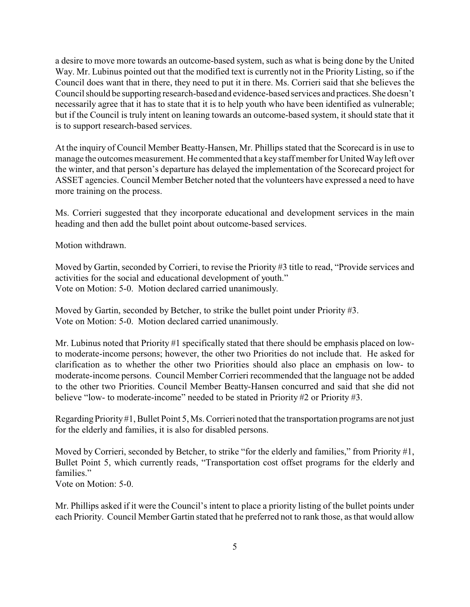a desire to move more towards an outcome-based system, such as what is being done by the United Way. Mr. Lubinus pointed out that the modified text is currently not in the Priority Listing, so if the Council does want that in there, they need to put it in there. Ms. Corrieri said that she believes the Council should be supporting research-based and evidence-based services and practices. She doesn't necessarily agree that it has to state that it is to help youth who have been identified as vulnerable; but if the Council is truly intent on leaning towards an outcome-based system, it should state that it is to support research-based services.

At the inquiry of Council Member Beatty-Hansen, Mr. Phillips stated that the Scorecard is in use to manage the outcomes measurement. He commented that a keystaff member for United Wayleft over the winter, and that person's departure has delayed the implementation of the Scorecard project for ASSET agencies. Council Member Betcher noted that the volunteers have expressed a need to have more training on the process.

Ms. Corrieri suggested that they incorporate educational and development services in the main heading and then add the bullet point about outcome-based services.

Motion withdrawn.

Moved by Gartin, seconded by Corrieri, to revise the Priority #3 title to read, "Provide services and activities for the social and educational development of youth." Vote on Motion: 5-0. Motion declared carried unanimously.

Moved by Gartin, seconded by Betcher, to strike the bullet point under Priority #3. Vote on Motion: 5-0. Motion declared carried unanimously.

Mr. Lubinus noted that Priority #1 specifically stated that there should be emphasis placed on lowto moderate-income persons; however, the other two Priorities do not include that. He asked for clarification as to whether the other two Priorities should also place an emphasis on low- to moderate-income persons. Council Member Corrieri recommended that the language not be added to the other two Priorities. Council Member Beatty-Hansen concurred and said that she did not believe "low- to moderate-income" needed to be stated in Priority #2 or Priority #3.

Regarding Priority #1, Bullet Point 5, Ms. Corrieri noted that the transportation programs are not just for the elderly and families, it is also for disabled persons.

Moved by Corrieri, seconded by Betcher, to strike "for the elderly and families," from Priority #1, Bullet Point 5, which currently reads, "Transportation cost offset programs for the elderly and families."

Vote on Motion: 5-0.

Mr. Phillips asked if it were the Council's intent to place a priority listing of the bullet points under each Priority. Council Member Gartin stated that he preferred not to rank those, as that would allow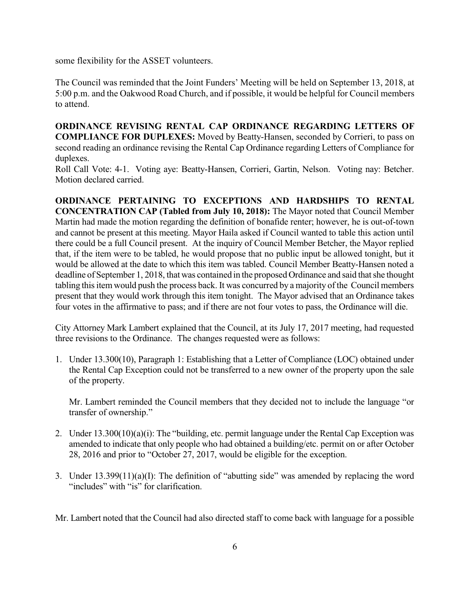some flexibility for the ASSET volunteers.

The Council was reminded that the Joint Funders' Meeting will be held on September 13, 2018, at 5:00 p.m. and the Oakwood Road Church, and if possible, it would be helpful for Council members to attend.

**ORDINANCE REVISING RENTAL CAP ORDINANCE REGARDING LETTERS OF COMPLIANCE FOR DUPLEXES:** Moved by Beatty-Hansen, seconded by Corrieri, to pass on second reading an ordinance revising the Rental Cap Ordinance regarding Letters of Compliance for duplexes.

Roll Call Vote: 4-1. Voting aye: Beatty-Hansen, Corrieri, Gartin, Nelson. Voting nay: Betcher. Motion declared carried.

**ORDINANCE PERTAINING TO EXCEPTIONS AND HARDSHIPS TO RENTAL CONCENTRATION CAP (Tabled from July 10, 2018):** The Mayor noted that Council Member Martin had made the motion regarding the definition of bonafide renter; however, he is out-of-town and cannot be present at this meeting. Mayor Haila asked if Council wanted to table this action until there could be a full Council present. At the inquiry of Council Member Betcher, the Mayor replied that, if the item were to be tabled, he would propose that no public input be allowed tonight, but it would be allowed at the date to which this item was tabled. Council Member Beatty-Hansen noted a deadline of September 1, 2018, that was contained in the proposed Ordinance and said that she thought tabling this item would push the process back. It was concurred by a majority of the Council members present that they would work through this item tonight. The Mayor advised that an Ordinance takes four votes in the affirmative to pass; and if there are not four votes to pass, the Ordinance will die.

City Attorney Mark Lambert explained that the Council, at its July 17, 2017 meeting, had requested three revisions to the Ordinance. The changes requested were as follows:

1. Under 13.300(10), Paragraph 1: Establishing that a Letter of Compliance (LOC) obtained under the Rental Cap Exception could not be transferred to a new owner of the property upon the sale of the property.

Mr. Lambert reminded the Council members that they decided not to include the language "or transfer of ownership."

- 2. Under 13.300(10)(a)(i): The "building, etc. permit language under the Rental Cap Exception was amended to indicate that only people who had obtained a building/etc. permit on or after October 28, 2016 and prior to "October 27, 2017, would be eligible for the exception.
- 3. Under 13.399(11)(a)(I): The definition of "abutting side" was amended by replacing the word "includes" with "is" for clarification.

Mr. Lambert noted that the Council had also directed staff to come back with language for a possible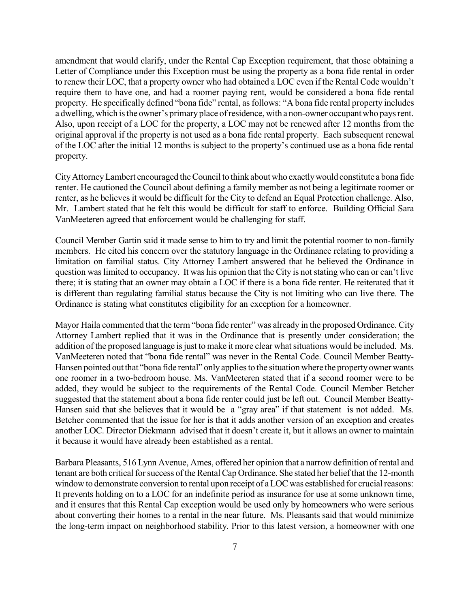amendment that would clarify, under the Rental Cap Exception requirement, that those obtaining a Letter of Compliance under this Exception must be using the property as a bona fide rental in order to renew their LOC, that a property owner who had obtained a LOC even if the Rental Code wouldn't require them to have one, and had a roomer paying rent, would be considered a bona fide rental property. He specifically defined "bona fide" rental, as follows: "A bona fide rental property includes a dwelling, which is the owner's primary place of residence, with a non-owner occupant who pays rent. Also, upon receipt of a LOC for the property, a LOC may not be renewed after 12 months from the original approval if the property is not used as a bona fide rental property. Each subsequent renewal of the LOC after the initial 12 months is subject to the property's continued use as a bona fide rental property.

CityAttorneyLambert encouraged theCouncil to think aboutwho exactlywould constitute a bona fide renter. He cautioned the Council about defining a family member as not being a legitimate roomer or renter, as he believes it would be difficult for the City to defend an Equal Protection challenge. Also, Mr. Lambert stated that he felt this would be difficult for staff to enforce. Building Official Sara VanMeeteren agreed that enforcement would be challenging for staff.

Council Member Gartin said it made sense to him to try and limit the potential roomer to non-family members. He cited his concern over the statutory language in the Ordinance relating to providing a limitation on familial status. City Attorney Lambert answered that he believed the Ordinance in question waslimited to occupancy. It was his opinion that the City is notstating who can or can't live there; it is stating that an owner may obtain a LOC if there is a bona fide renter. He reiterated that it is different than regulating familial status because the City is not limiting who can live there. The Ordinance is stating what constitutes eligibility for an exception for a homeowner.

Mayor Haila commented that the term "bona fide renter" was already in the proposed Ordinance. City Attorney Lambert replied that it was in the Ordinance that is presently under consideration; the addition of the proposed language is just to make it more clear what situations would be included. Ms. VanMeeteren noted that "bona fide rental" was never in the Rental Code. Council Member Beatty-Hansen pointed out that "bona fide rental" only applies to the situation where the property owner wants one roomer in a two-bedroom house. Ms. VanMeeteren stated that if a second roomer were to be added, they would be subject to the requirements of the Rental Code. Council Member Betcher suggested that the statement about a bona fide renter could just be left out. Council Member Beatty-Hansen said that she believes that it would be a "gray area" if that statement is not added. Ms. Betcher commented that the issue for her is that it adds another version of an exception and creates another LOC. Director Diekmann advised that it doesn't create it, but it allows an owner to maintain it because it would have already been established as a rental.

Barbara Pleasants, 516 Lynn Avenue, Ames, offered her opinion that a narrow definition of rental and tenant are both critical for success of the Rental Cap Ordinance. She stated her belief that the 12-month window to demonstrate conversion to rental upon receipt of a LOC was established for crucial reasons: It prevents holding on to a LOC for an indefinite period as insurance for use at some unknown time, and it ensures that this Rental Cap exception would be used only by homeowners who were serious about converting their homes to a rental in the near future. Ms. Pleasants said that would minimize the long-term impact on neighborhood stability. Prior to this latest version, a homeowner with one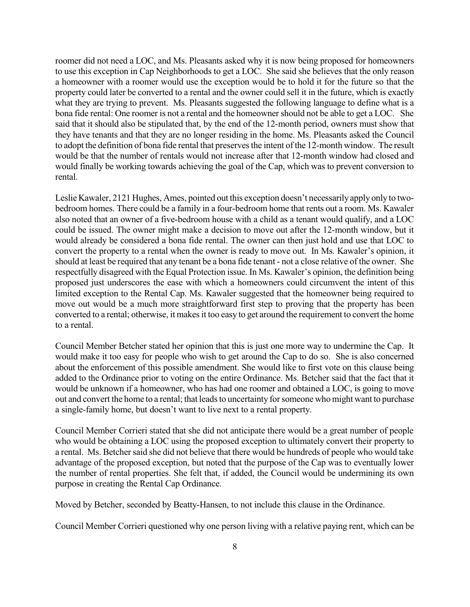roomer did not need a LOC, and Ms. Pleasants asked why it is now being proposed for homeowners to use this exception in Cap Neighborhoods to get a LOC. She said she believes that the only reason a homeowner with a roomer would use the exception would be to hold it for the future so that the property could later be converted to a rental and the owner could sell it in the future, which is exactly what they are trying to prevent. Ms. Pleasants suggested the following language to define what is a bona fide rental: One roomer is not a rental and the homeowner should not be able to get a LOC. She said that it should also be stipulated that, by the end of the 12-month period, owners must show that they have tenants and that they are no longer residing in the home. Ms. Pleasants asked the Council to adopt the definition of bona fide rental that preserves the intent of the 12-month window. The result would be that the number of rentals would not increase after that 12-month window had closed and would finally be working towards achieving the goal of the Cap, which was to prevent conversion to rental.

Leslie Kawaler, 2121 Hughes, Ames, pointed out this exception doesn't necessarily apply only to twobedroom homes. There could be a family in a four-bedroom home that rents out a room. Ms. Kawaler also noted that an owner of a five-bedroom house with a child as a tenant would qualify, and a LOC could be issued. The owner might make a decision to move out after the 12-month window, but it would already be considered a bona fide rental. The owner can then just hold and use that LOC to convert the property to a rental when the owner is ready to move out. In Ms. Kawaler's opinion, it should at least be required that any tenant be a bona fide tenant - not a close relative of the owner. She respectfully disagreed with the Equal Protection issue. In Ms. Kawaler's opinion, the definition being proposed just underscores the ease with which a homeowners could circumvent the intent of this limited exception to the Rental Cap. Ms. Kawaler suggested that the homeowner being required to move out would be a much more straightforward first step to proving that the property has been converted to a rental; otherwise, it makes it too easy to get around the requirement to convert the home to a rental.

Council Member Betcher stated her opinion that this is just one more way to undermine the Cap. It would make it too easy for people who wish to get around the Cap to do so. She is also concerned about the enforcement of this possible amendment. She would like to first vote on this clause being added to the Ordinance prior to voting on the entire Ordinance. Ms. Betcher said that the fact that it would be unknown if a homeowner, who has had one roomer and obtained a LOC, is going to move out and convert the home to a rental; that leads to uncertainty for someone who might want to purchase a single-family home, but doesn't want to live next to a rental property.

Council Member Corrieri stated that she did not anticipate there would be a great number of people who would be obtaining a LOC using the proposed exception to ultimately convert their property to a rental. Ms. Betcher said she did not believe that there would be hundreds of people who would take advantage of the proposed exception, but noted that the purpose of the Cap was to eventually lower the number of rental properties. She felt that, if added, the Council would be undermining its own purpose in creating the Rental Cap Ordinance.

Moved by Betcher, seconded by Beatty-Hansen, to not include this clause in the Ordinance.

Council Member Corrieri questioned why one person living with a relative paying rent, which can be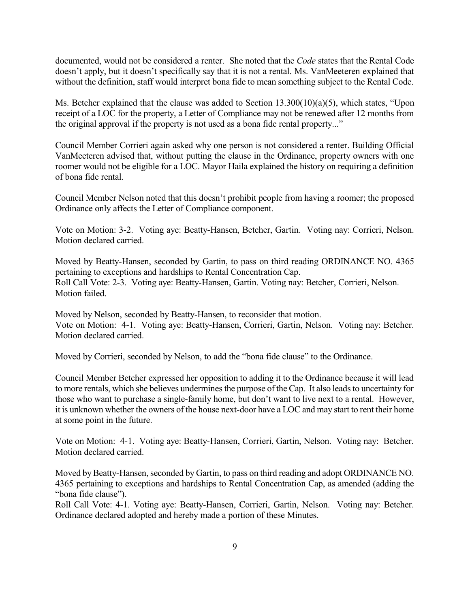documented, would not be considered a renter. She noted that the *Code* states that the Rental Code doesn't apply, but it doesn't specifically say that it is not a rental. Ms. VanMeeteren explained that without the definition, staff would interpret bona fide to mean something subject to the Rental Code.

Ms. Betcher explained that the clause was added to Section 13.300(10)(a)(5), which states, "Upon receipt of a LOC for the property, a Letter of Compliance may not be renewed after 12 months from the original approval if the property is not used as a bona fide rental property..."

Council Member Corrieri again asked why one person is not considered a renter. Building Official VanMeeteren advised that, without putting the clause in the Ordinance, property owners with one roomer would not be eligible for a LOC. Mayor Haila explained the history on requiring a definition of bona fide rental.

Council Member Nelson noted that this doesn't prohibit people from having a roomer; the proposed Ordinance only affects the Letter of Compliance component.

Vote on Motion: 3-2. Voting aye: Beatty-Hansen, Betcher, Gartin. Voting nay: Corrieri, Nelson. Motion declared carried.

Moved by Beatty-Hansen, seconded by Gartin, to pass on third reading ORDINANCE NO. 4365 pertaining to exceptions and hardships to Rental Concentration Cap. Roll Call Vote: 2-3. Voting aye: Beatty-Hansen, Gartin. Voting nay: Betcher, Corrieri, Nelson. Motion failed.

Moved by Nelson, seconded by Beatty-Hansen, to reconsider that motion. Vote on Motion: 4-1. Voting aye: Beatty-Hansen, Corrieri, Gartin, Nelson. Voting nay: Betcher. Motion declared carried.

Moved by Corrieri, seconded by Nelson, to add the "bona fide clause" to the Ordinance.

Council Member Betcher expressed her opposition to adding it to the Ordinance because it will lead to more rentals, which she believes undermines the purpose of the Cap. It also leads to uncertainty for those who want to purchase a single-family home, but don't want to live next to a rental. However, it is unknown whether the owners of the house next-door have a LOC and may start to rent their home at some point in the future.

Vote on Motion: 4-1. Voting aye: Beatty-Hansen, Corrieri, Gartin, Nelson. Voting nay: Betcher. Motion declared carried.

Moved by Beatty-Hansen, seconded by Gartin, to pass on third reading and adopt ORDINANCE NO. 4365 pertaining to exceptions and hardships to Rental Concentration Cap, as amended (adding the "bona fide clause").

Roll Call Vote: 4-1. Voting aye: Beatty-Hansen, Corrieri, Gartin, Nelson. Voting nay: Betcher. Ordinance declared adopted and hereby made a portion of these Minutes.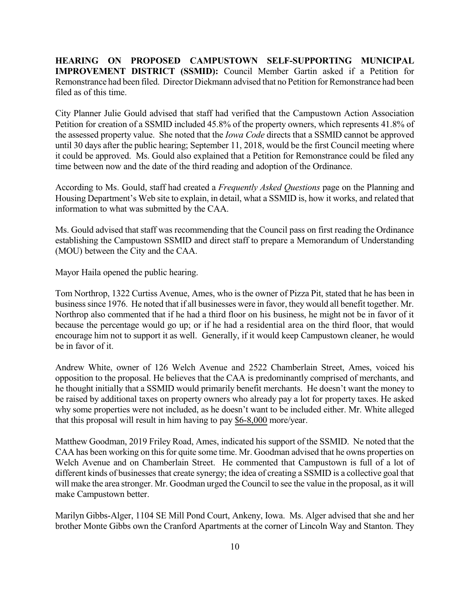**HEARING ON PROPOSED CAMPUSTOWN SELF-SUPPORTING MUNICIPAL IMPROVEMENT DISTRICT (SSMID):** Council Member Gartin asked if a Petition for Remonstrance had been filed. Director Diekmann advised that no Petition for Remonstrance had been filed as of this time.

City Planner Julie Gould advised that staff had verified that the Campustown Action Association Petition for creation of a SSMID included 45.8% of the property owners, which represents 41.8% of the assessed property value. She noted that the *Iowa Code* directs that a SSMID cannot be approved until 30 days after the public hearing; September 11, 2018, would be the first Council meeting where it could be approved. Ms. Gould also explained that a Petition for Remonstrance could be filed any time between now and the date of the third reading and adoption of the Ordinance.

According to Ms. Gould, staff had created a *Frequently Asked Questions* page on the Planning and Housing Department's Web site to explain, in detail, what a SSMID is, how it works, and related that information to what was submitted by the CAA.

Ms. Gould advised that staff was recommending that the Council pass on first reading the Ordinance establishing the Campustown SSMID and direct staff to prepare a Memorandum of Understanding (MOU) between the City and the CAA.

Mayor Haila opened the public hearing.

Tom Northrop, 1322 Curtiss Avenue, Ames, who is the owner of Pizza Pit, stated that he has been in businesssince 1976. He noted that if all businesses were in favor, they would all benefit together. Mr. Northrop also commented that if he had a third floor on his business, he might not be in favor of it because the percentage would go up; or if he had a residential area on the third floor, that would encourage him not to support it as well. Generally, if it would keep Campustown cleaner, he would be in favor of it.

Andrew White, owner of 126 Welch Avenue and 2522 Chamberlain Street, Ames, voiced his opposition to the proposal. He believes that the CAA is predominantly comprised of merchants, and he thought initially that a SSMID would primarily benefit merchants. He doesn't want the money to be raised by additional taxes on property owners who already pay a lot for property taxes. He asked why some properties were not included, as he doesn't want to be included either. Mr. White alleged that this proposal will result in him having to pay \$6-8,000 more/year.

Matthew Goodman, 2019 Friley Road, Ames, indicated his support of the SSMID. Ne noted that the CAA has been working on this for quite some time. Mr. Goodman advised that he owns properties on Welch Avenue and on Chamberlain Street. He commented that Campustown is full of a lot of different kinds of businesses that create synergy; the idea of creating a SSMID is a collective goal that will make the area stronger. Mr. Goodman urged the Council to see the value in the proposal, as it will make Campustown better.

Marilyn Gibbs-Alger, 1104 SE Mill Pond Court, Ankeny, Iowa. Ms. Alger advised that she and her brother Monte Gibbs own the Cranford Apartments at the corner of Lincoln Way and Stanton. They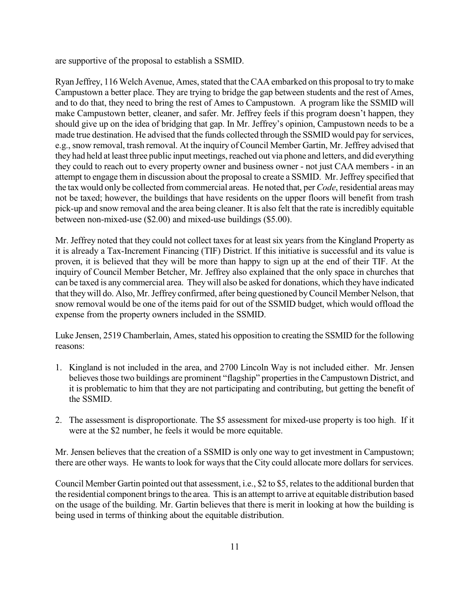are supportive of the proposal to establish a SSMID.

Ryan Jeffrey, 116Welch Avenue, Ames, stated that theCAA embarked on this proposal to try to make Campustown a better place. They are trying to bridge the gap between students and the rest of Ames, and to do that, they need to bring the rest of Ames to Campustown. A program like the SSMID will make Campustown better, cleaner, and safer. Mr. Jeffrey feels if this program doesn't happen, they should give up on the idea of bridging that gap. In Mr. Jeffrey's opinion, Campustown needs to be a made true destination. He advised that the funds collected through the SSMID would pay for services, e.g., snow removal, trash removal. At the inquiry of Council Member Gartin, Mr. Jeffrey advised that they had held at least three public input meetings, reached out via phone and letters, and did everything they could to reach out to every property owner and business owner - not just CAA members - in an attempt to engage them in discussion about the proposal to create a SSMID. Mr. Jeffrey specified that the tax would only be collected fromcommercial areas. He noted that, per *Code*, residential areas may not be taxed; however, the buildings that have residents on the upper floors will benefit from trash pick-up and snow removal and the area being cleaner. It is also felt that the rate is incredibly equitable between non-mixed-use (\$2.00) and mixed-use buildings (\$5.00).

Mr. Jeffrey noted that they could not collect taxes for at least six years from the Kingland Property as it is already a Tax-Increment Financing (TIF) District. If this initiative is successful and its value is proven, it is believed that they will be more than happy to sign up at the end of their TIF. At the inquiry of Council Member Betcher, Mr. Jeffrey also explained that the only space in churches that can be taxed is any commercial area. They will also be asked for donations, which they have indicated that theywill do. Also, Mr. Jeffrey confirmed, after being questioned byCouncil Member Nelson, that snow removal would be one of the items paid for out of the SSMID budget, which would offload the expense from the property owners included in the SSMID.

Luke Jensen, 2519 Chamberlain, Ames, stated his opposition to creating the SSMID for the following reasons:

- 1. Kingland is not included in the area, and 2700 Lincoln Way is not included either. Mr. Jensen believes those two buildings are prominent "flagship" properties in the Campustown District, and it is problematic to him that they are not participating and contributing, but getting the benefit of the SSMID.
- 2. The assessment is disproportionate. The \$5 assessment for mixed-use property is too high. If it were at the \$2 number, he feels it would be more equitable.

Mr. Jensen believes that the creation of a SSMID is only one way to get investment in Campustown; there are other ways. He wants to look for ways that the City could allocate more dollars for services.

Council Member Gartin pointed out that assessment, i.e., \$2 to \$5, relatesto the additional burden that the residential component brings to the area. This is an attempt to arrive at equitable distribution based on the usage of the building. Mr. Gartin believes that there is merit in looking at how the building is being used in terms of thinking about the equitable distribution.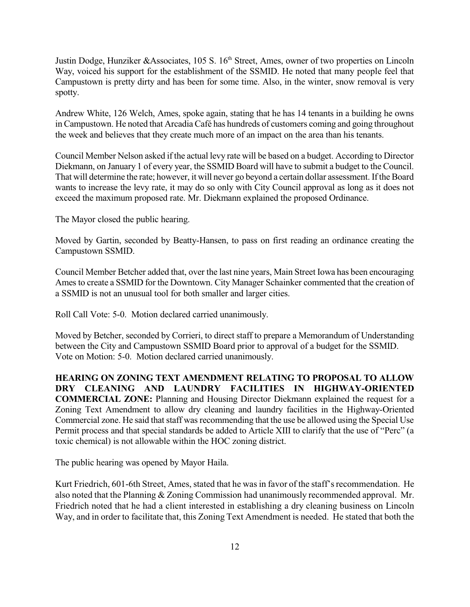Justin Dodge, Hunziker &Associates, 105 S. 16<sup>th</sup> Street, Ames, owner of two properties on Lincoln Way, voiced his support for the establishment of the SSMID. He noted that many people feel that Campustown is pretty dirty and has been for some time. Also, in the winter, snow removal is very spotty.

Andrew White, 126 Welch, Ames, spoke again, stating that he has 14 tenants in a building he owns in Campustown. He noted that Arcadia Café has hundreds of customers coming and going throughout the week and believes that they create much more of an impact on the area than his tenants.

Council Member Nelson asked if the actual levy rate will be based on a budget. According to Director Diekmann, on January 1 of every year, the SSMID Board will have to submit a budget to the Council. That will determine the rate; however, it will never go beyond a certain dollar assessment. If the Board wants to increase the levy rate, it may do so only with City Council approval as long as it does not exceed the maximum proposed rate. Mr. Diekmann explained the proposed Ordinance.

The Mayor closed the public hearing.

Moved by Gartin, seconded by Beatty-Hansen, to pass on first reading an ordinance creating the Campustown SSMID.

Council Member Betcher added that, over the last nine years, Main Street Iowa has been encouraging Ames to create a SSMID for the Downtown. City Manager Schainker commented that the creation of a SSMID is not an unusual tool for both smaller and larger cities.

Roll Call Vote: 5-0. Motion declared carried unanimously.

Moved by Betcher, seconded by Corrieri, to direct staff to prepare a Memorandum of Understanding between the City and Campustown SSMID Board prior to approval of a budget for the SSMID. Vote on Motion: 5-0. Motion declared carried unanimously.

**HEARING ON ZONING TEXT AMENDMENT RELATING TO PROPOSAL TO ALLOW DRY CLEANING AND LAUNDRY FACILITIES IN HIGHWAY-ORIENTED COMMERCIAL ZONE:** Planning and Housing Director Diekmann explained the request for a Zoning Text Amendment to allow dry cleaning and laundry facilities in the Highway-Oriented Commercial zone. He said that staff was recommending that the use be allowed using the Special Use Permit process and that special standards be added to Article XIII to clarify that the use of "Perc" (a toxic chemical) is not allowable within the HOC zoning district.

The public hearing was opened by Mayor Haila.

Kurt Friedrich, 601-6th Street, Ames, stated that he was in favor of the staff's recommendation. He also noted that the Planning & Zoning Commission had unanimously recommended approval. Mr. Friedrich noted that he had a client interested in establishing a dry cleaning business on Lincoln Way, and in order to facilitate that, this Zoning Text Amendment is needed. He stated that both the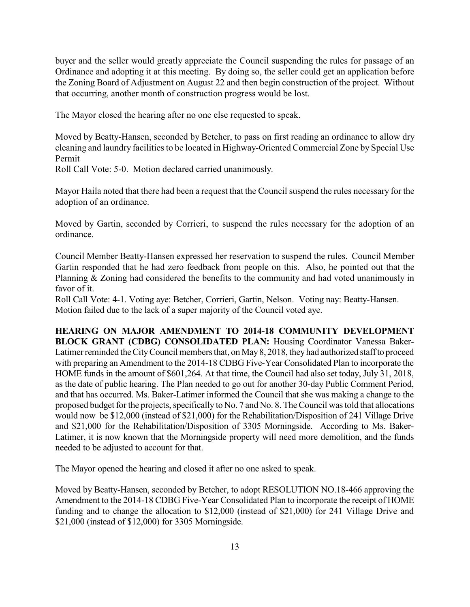buyer and the seller would greatly appreciate the Council suspending the rules for passage of an Ordinance and adopting it at this meeting. By doing so, the seller could get an application before the Zoning Board of Adjustment on August 22 and then begin construction of the project. Without that occurring, another month of construction progress would be lost.

The Mayor closed the hearing after no one else requested to speak.

Moved by Beatty-Hansen, seconded by Betcher, to pass on first reading an ordinance to allow dry cleaning and laundry facilities to be located in Highway-Oriented Commercial Zone by Special Use Permit

Roll Call Vote: 5-0. Motion declared carried unanimously.

Mayor Haila noted that there had been a request that the Council suspend the rules necessary for the adoption of an ordinance.

Moved by Gartin, seconded by Corrieri, to suspend the rules necessary for the adoption of an ordinance.

Council Member Beatty-Hansen expressed her reservation to suspend the rules. Council Member Gartin responded that he had zero feedback from people on this. Also, he pointed out that the Planning & Zoning had considered the benefits to the community and had voted unanimously in favor of it.

Roll Call Vote: 4-1. Voting aye: Betcher, Corrieri, Gartin, Nelson. Voting nay: Beatty-Hansen. Motion failed due to the lack of a super majority of the Council voted aye.

**HEARING ON MAJOR AMENDMENT TO 2014-18 COMMUNITY DEVELOPMENT BLOCK GRANT (CDBG) CONSOLIDATED PLAN:** Housing Coordinator Vanessa Baker-Latimer reminded the City Council members that, on May 8, 2018, they had authorized staff to proceed with preparing an Amendment to the 2014-18 CDBG Five-Year Consolidated Plan to incorporate the HOME funds in the amount of \$601,264. At that time, the Council had also set today, July 31, 2018, as the date of public hearing. The Plan needed to go out for another 30-day Public Comment Period, and that has occurred. Ms. Baker-Latimer informed the Council that she was making a change to the proposed budget for the projects, specifically to No. 7 and No. 8. TheCouncil wastold that allocations would now be \$12,000 (instead of \$21,000) for the Rehabilitation/Disposition of 241 Village Drive and \$21,000 for the Rehabilitation/Disposition of 3305 Morningside. According to Ms. Baker-Latimer, it is now known that the Morningside property will need more demolition, and the funds needed to be adjusted to account for that.

The Mayor opened the hearing and closed it after no one asked to speak.

Moved by Beatty-Hansen, seconded by Betcher, to adopt RESOLUTION NO.18-466 approving the Amendment to the 2014-18 CDBG Five-Year Consolidated Plan to incorporate the receipt of HOME funding and to change the allocation to \$12,000 (instead of \$21,000) for 241 Village Drive and \$21,000 (instead of \$12,000) for 3305 Morningside.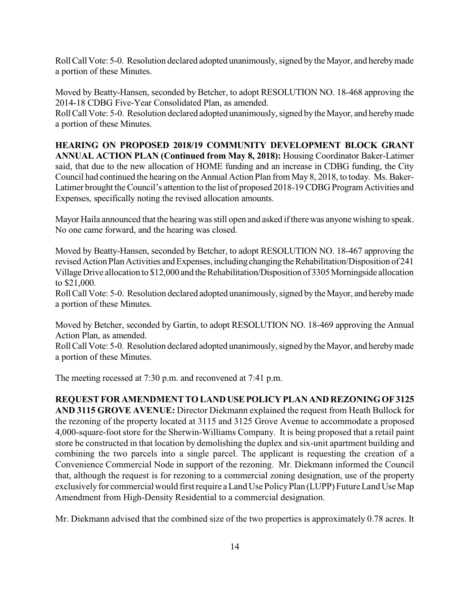Roll Call Vote: 5-0. Resolution declared adopted unanimously, signed by the Mayor, and hereby made a portion of these Minutes.

Moved by Beatty-Hansen, seconded by Betcher, to adopt RESOLUTION NO. 18-468 approving the 2014-18 CDBG Five-Year Consolidated Plan, as amended.

Roll Call Vote: 5-0. Resolution declared adopted unanimously, signed by the Mayor, and hereby made a portion of these Minutes.

**HEARING ON PROPOSED 2018/19 COMMUNITY DEVELOPMENT BLOCK GRANT ANNUAL ACTION PLAN (Continued from May 8, 2018):** Housing Coordinator Baker-Latimer said, that due to the new allocation of HOME funding and an increase in CDBG funding, the City Council had continued the hearing on the Annual Action Plan from May 8, 2018, to today. Ms. Baker-Latimer brought the Council's attention to the list of proposed 2018-19 CDBG Program Activities and Expenses, specifically noting the revised allocation amounts.

Mayor Haila announced that the hearing was still open and asked if there was anyone wishing to speak. No one came forward, and the hearing was closed.

Moved by Beatty-Hansen, seconded by Betcher, to adopt RESOLUTION NO. 18-467 approving the revised Action Plan Activities and Expenses, including changing the Rehabilitation/Disposition of 241 Village Drive allocation to \$12,000 and the Rehabilitation/Disposition of 3305 Morningside allocation to \$21,000.

Roll Call Vote: 5-0. Resolution declared adopted unanimously, signed by the Mayor, and hereby made a portion of these Minutes.

Moved by Betcher, seconded by Gartin, to adopt RESOLUTION NO. 18-469 approving the Annual Action Plan, as amended.

Roll Call Vote: 5-0. Resolution declared adopted unanimously, signed by the Mayor, and hereby made a portion of these Minutes.

The meeting recessed at 7:30 p.m. and reconvened at 7:41 p.m.

**REQUEST FOR AMENDMENT TO LANDUSEPOLICY PLAN AND REZONINGOF3125 AND 3115 GROVE AVENUE:** Director Diekmann explained the request from Heath Bullock for the rezoning of the property located at 3115 and 3125 Grove Avenue to accommodate a proposed 4,000-square-foot store for the Sherwin-Williams Company. It is being proposed that a retail paint store be constructed in that location by demolishing the duplex and six-unit apartment building and combining the two parcels into a single parcel. The applicant is requesting the creation of a Convenience Commercial Node in support of the rezoning. Mr. Diekmann informed the Council that, although the request is for rezoning to a commercial zoning designation, use of the property exclusively for commercial would first require a Land Use Policy Plan (LUPP) Future Land Use Map Amendment from High-Density Residential to a commercial designation.

Mr. Diekmann advised that the combined size of the two properties is approximately 0.78 acres. It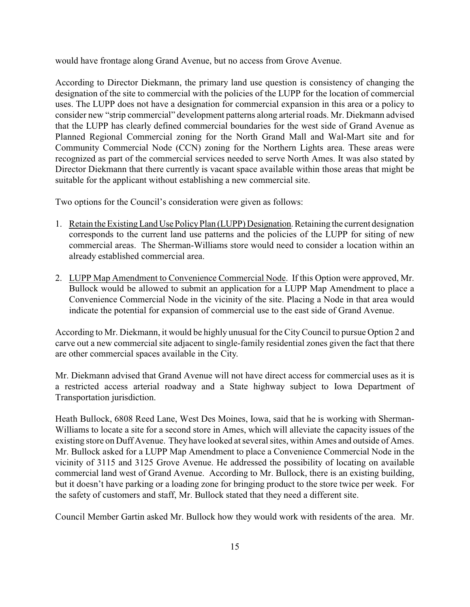would have frontage along Grand Avenue, but no access from Grove Avenue.

According to Director Diekmann, the primary land use question is consistency of changing the designation of the site to commercial with the policies of the LUPP for the location of commercial uses. The LUPP does not have a designation for commercial expansion in this area or a policy to consider new "strip commercial" development patterns along arterial roads. Mr. Diekmann advised that the LUPP has clearly defined commercial boundaries for the west side of Grand Avenue as Planned Regional Commercial zoning for the North Grand Mall and Wal-Mart site and for Community Commercial Node (CCN) zoning for the Northern Lights area. These areas were recognized as part of the commercial services needed to serve North Ames. It was also stated by Director Diekmann that there currently is vacant space available within those areas that might be suitable for the applicant without establishing a new commercial site.

Two options for the Council's consideration were given as follows:

- 1. Retain the Existing Land Use Policy Plan (LUPP) Designation. Retaining the current designation corresponds to the current land use patterns and the policies of the LUPP for siting of new commercial areas. The Sherman-Williams store would need to consider a location within an already established commercial area.
- 2. LUPP Map Amendment to Convenience Commercial Node. If this Option were approved, Mr. Bullock would be allowed to submit an application for a LUPP Map Amendment to place a Convenience Commercial Node in the vicinity of the site. Placing a Node in that area would indicate the potential for expansion of commercial use to the east side of Grand Avenue.

According to Mr. Diekmann, it would be highly unusual for the CityCouncil to pursue Option 2 and carve out a new commercial site adjacent to single-family residential zones given the fact that there are other commercial spaces available in the City.

Mr. Diekmann advised that Grand Avenue will not have direct access for commercial uses as it is a restricted access arterial roadway and a State highway subject to Iowa Department of Transportation jurisdiction.

Heath Bullock, 6808 Reed Lane, West Des Moines, Iowa, said that he is working with Sherman-Williams to locate a site for a second store in Ames, which will alleviate the capacity issues of the existing store on Duff Avenue. They have looked at several sites, within Ames and outside of Ames. Mr. Bullock asked for a LUPP Map Amendment to place a Convenience Commercial Node in the vicinity of 3115 and 3125 Grove Avenue. He addressed the possibility of locating on available commercial land west of Grand Avenue. According to Mr. Bullock, there is an existing building, but it doesn't have parking or a loading zone for bringing product to the store twice per week. For the safety of customers and staff, Mr. Bullock stated that they need a different site.

Council Member Gartin asked Mr. Bullock how they would work with residents of the area. Mr.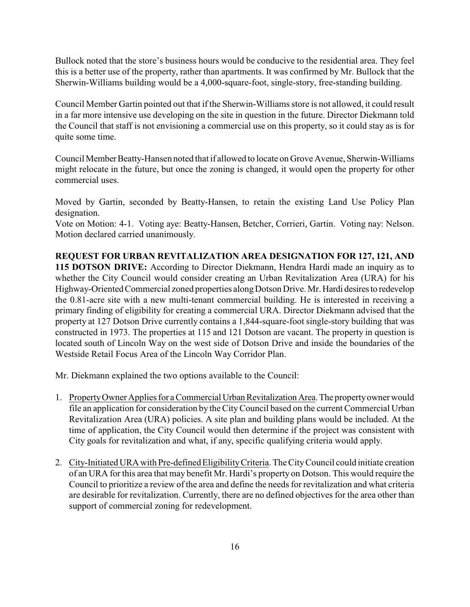Bullock noted that the store's business hours would be conducive to the residential area. They feel this is a better use of the property, rather than apartments. It was confirmed by Mr. Bullock that the Sherwin-Williams building would be a 4,000-square-foot, single-story, free-standing building.

Council Member Gartin pointed out that if the Sherwin-Williams store is not allowed, it could result in a far more intensive use developing on the site in question in the future. Director Diekmann told the Council that staff is not envisioning a commercial use on this property, so it could stay as is for quite some time.

Council Member Beatty-Hansen noted that if allowed to locate on Grove Avenue, Sherwin-Williams might relocate in the future, but once the zoning is changed, it would open the property for other commercial uses.

Moved by Gartin, seconded by Beatty-Hansen, to retain the existing Land Use Policy Plan designation.

Vote on Motion: 4-1. Voting aye: Beatty-Hansen, Betcher, Corrieri, Gartin. Voting nay: Nelson. Motion declared carried unanimously.

**REQUEST FOR URBAN REVITALIZATION AREA DESIGNATION FOR 127, 121, AND 115 DOTSON DRIVE:** According to Director Diekmann, Hendra Hardi made an inquiry as to whether the City Council would consider creating an Urban Revitalization Area (URA) for his Highway-Oriented Commercial zoned properties along Dotson Drive. Mr. Hardi desires to redevelop the 0.81-acre site with a new multi-tenant commercial building. He is interested in receiving a primary finding of eligibility for creating a commercial URA. Director Diekmann advised that the property at 127 Dotson Drive currently contains a 1,844-square-foot single-story building that was constructed in 1973. The properties at 115 and 121 Dotson are vacant. The property in question is located south of Lincoln Way on the west side of Dotson Drive and inside the boundaries of the Westside Retail Focus Area of the Lincoln Way Corridor Plan.

Mr. Diekmann explained the two options available to the Council:

- 1. PropertyOwner Applies for a Commercial UrbanRevitalizationArea.The propertyowner would file an application for consideration by the CityCouncil based on the current Commercial Urban Revitalization Area (URA) policies. A site plan and building plans would be included. At the time of application, the City Council would then determine if the project was consistent with City goals for revitalization and what, if any, specific qualifying criteria would apply.
- 2. City-Initiated URA with Pre-defined EligibilityCriteria. The CityCouncil could initiate creation of an URA for this area that may benefit Mr. Hardi's property on Dotson. This would require the Council to prioritize a review of the area and define the needs for revitalization and what criteria are desirable for revitalization. Currently, there are no defined objectives for the area other than support of commercial zoning for redevelopment.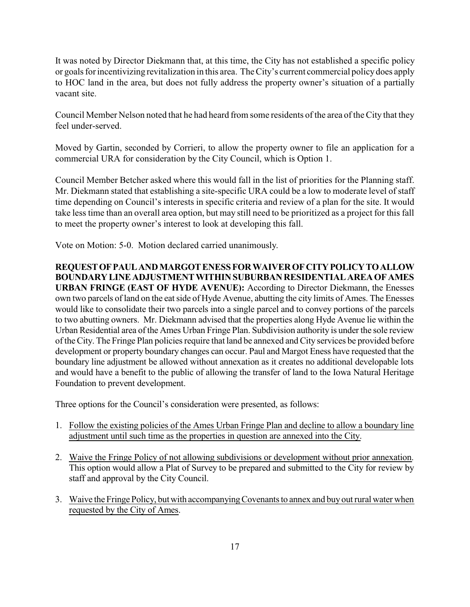It was noted by Director Diekmann that, at this time, the City has not established a specific policy or goals for incentivizing revitalization in this area. The City's current commercial policydoes apply to HOC land in the area, but does not fully address the property owner's situation of a partially vacant site.

Council Member Nelson noted that he had heard from some residents of the area of the City that they feel under-served.

Moved by Gartin, seconded by Corrieri, to allow the property owner to file an application for a commercial URA for consideration by the City Council, which is Option 1.

Council Member Betcher asked where this would fall in the list of priorities for the Planning staff. Mr. Diekmann stated that establishing a site-specific URA could be a low to moderate level of staff time depending on Council's interests in specific criteria and review of a plan for the site. It would take less time than an overall area option, but may still need to be prioritized as a project for this fall to meet the property owner's interest to look at developing this fall.

Vote on Motion: 5-0. Motion declared carried unanimously.

**REQUESTOFPAULANDMARGOTENESSFORWAIVEROFCITYPOLICYTOALLOW BOUNDARYLINEADJUSTMENTWITHINSUBURBANRESIDENTIALAREAOFAMES URBAN FRINGE (EAST OF HYDE AVENUE):** According to Director Diekmann, the Enesses own two parcels of land on the eatside of Hyde Avenue, abutting the city limits of Ames. The Enesses would like to consolidate their two parcels into a single parcel and to convey portions of the parcels to two abutting owners. Mr. Diekmann advised that the properties along Hyde Avenue lie within the Urban Residential area of the Ames Urban Fringe Plan. Subdivision authority is under the sole review of the City. The Fringe Plan policies require that land be annexed and City services be provided before development or property boundary changes can occur. Paul and Margot Eness have requested that the boundary line adjustment be allowed without annexation as it creates no additional developable lots and would have a benefit to the public of allowing the transfer of land to the Iowa Natural Heritage Foundation to prevent development.

Three options for the Council's consideration were presented, as follows:

- 1. Follow the existing policies of the Ames Urban Fringe Plan and decline to allow a boundary line adjustment until such time as the properties in question are annexed into the City.
- 2. Waive the Fringe Policy of not allowing subdivisions or development without prior annexation. This option would allow a Plat of Survey to be prepared and submitted to the City for review by staff and approval by the City Council.
- 3. Waive the Fringe Policy, butwith accompanyingCovenantsto annex and buy outrural water when requested by the City of Ames.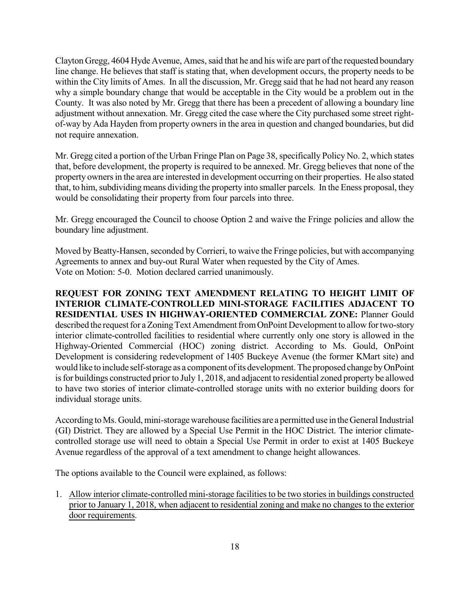Clayton Gregg, 4604 Hyde Avenue, Ames, said that he and his wife are part ofthe requested boundary line change. He believes that staff is stating that, when development occurs, the property needs to be within the City limits of Ames. In all the discussion, Mr. Gregg said that he had not heard any reason why a simple boundary change that would be acceptable in the City would be a problem out in the County. It was also noted by Mr. Gregg that there has been a precedent of allowing a boundary line adjustment without annexation. Mr. Gregg cited the case where the City purchased some street rightof-way by Ada Hayden from property owners in the area in question and changed boundaries, but did not require annexation.

Mr. Gregg cited a portion of the Urban Fringe Plan on Page 38, specifically Policy No. 2, which states that, before development, the property is required to be annexed. Mr. Gregg believes that none of the property owners in the area are interested in development occurring on their properties. He also stated that, to him, subdividing means dividing the property into smaller parcels. In the Eness proposal, they would be consolidating their property from four parcels into three.

Mr. Gregg encouraged the Council to choose Option 2 and waive the Fringe policies and allow the boundary line adjustment.

Moved by Beatty-Hansen, seconded by Corrieri, to waive the Fringe policies, but with accompanying Agreements to annex and buy-out Rural Water when requested by the City of Ames. Vote on Motion: 5-0. Motion declared carried unanimously.

**REQUEST FOR ZONING TEXT AMENDMENT RELATING TO HEIGHT LIMIT OF INTERIOR CLIMATE-CONTROLLED MINI-STORAGE FACILITIES ADJACENT TO RESIDENTIAL USES IN HIGHWAY-ORIENTED COMMERCIAL ZONE:** Planner Gould described the request for a Zoning Text Amendment from OnPoint Development to allow for two-story interior climate-controlled facilities to residential where currently only one story is allowed in the Highway-Oriented Commercial (HOC) zoning district. According to Ms. Gould, OnPoint Development is considering redevelopment of 1405 Buckeye Avenue (the former KMart site) and would like to include self-storage as a component ofits development. The proposed change byOnPoint is for buildings constructed prior to July 1, 2018, and adjacent to residential zoned property be allowed to have two stories of interior climate-controlled storage units with no exterior building doors for individual storage units.

According to Ms. Gould, mini-storage warehouse facilities are a permitted use in the General Industrial (GI) District. They are allowed by a Special Use Permit in the HOC District. The interior climatecontrolled storage use will need to obtain a Special Use Permit in order to exist at 1405 Buckeye Avenue regardless of the approval of a text amendment to change height allowances.

The options available to the Council were explained, as follows:

1. Allow interior climate-controlled mini-storage facilitiesto be two storiesin buildings constructed prior to January 1, 2018, when adjacent to residential zoning and make no changes to the exterior door requirements.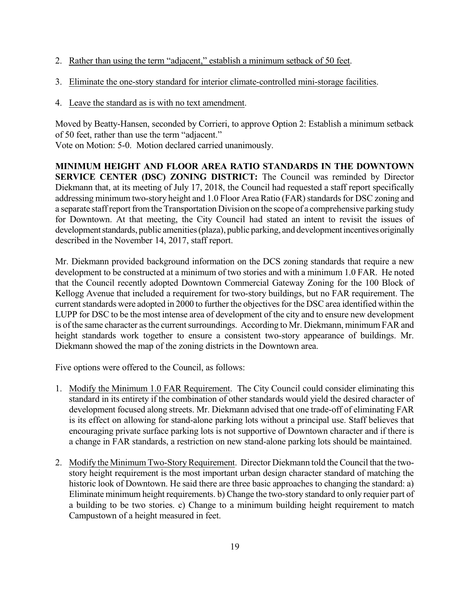- 2. Rather than using the term "adjacent," establish a minimum setback of 50 feet.
- 3. Eliminate the one-story standard for interior climate-controlled mini-storage facilities.
- 4. Leave the standard as is with no text amendment.

Moved by Beatty-Hansen, seconded by Corrieri, to approve Option 2: Establish a minimum setback of 50 feet, rather than use the term "adjacent." Vote on Motion: 5-0. Motion declared carried unanimously.

**MINIMUM HEIGHT AND FLOOR AREA RATIO STANDARDS IN THE DOWNTOWN SERVICE CENTER (DSC) ZONING DISTRICT:** The Council was reminded by Director Diekmann that, at its meeting of July 17, 2018, the Council had requested a staff report specifically addressing minimum two-story height and 1.0 Floor Area Ratio (FAR) standards for DSC zoning and a separate staff report from the Transportation Division on the scope of a comprehensive parking study for Downtown. At that meeting, the City Council had stated an intent to revisit the issues of development standards, public amenities (plaza), public parking, and development incentives originally described in the November 14, 2017, staff report.

Mr. Diekmann provided background information on the DCS zoning standards that require a new development to be constructed at a minimum of two stories and with a minimum 1.0 FAR. He noted that the Council recently adopted Downtown Commercial Gateway Zoning for the 100 Block of Kellogg Avenue that included a requirement for two-story buildings, but no FAR requirement. The current standards were adopted in 2000 to further the objectives for the DSC area identified within the LUPP for DSC to be the most intense area of development of the city and to ensure new development is of the same character as the current surroundings. According to Mr. Diekmann, minimum FAR and height standards work together to ensure a consistent two-story appearance of buildings. Mr. Diekmann showed the map of the zoning districts in the Downtown area.

Five options were offered to the Council, as follows:

- 1. Modify the Minimum 1.0 FAR Requirement. The City Council could consider eliminating this standard in its entirety if the combination of other standards would yield the desired character of development focused along streets. Mr. Diekmann advised that one trade-off of eliminating FAR is its effect on allowing for stand-alone parking lots without a principal use. Staff believes that encouraging private surface parking lots is not supportive of Downtown character and if there is a change in FAR standards, a restriction on new stand-alone parking lots should be maintained.
- 2. Modify the Minimum Two-Story Requirement. Director Diekmann told the Council that the twostory height requirement is the most important urban design character standard of matching the historic look of Downtown. He said there are three basic approaches to changing the standard: a) Eliminate minimum height requirements. b) Change the two-story standard to only requier part of a building to be two stories. c) Change to a minimum building height requirement to match Campustown of a height measured in feet.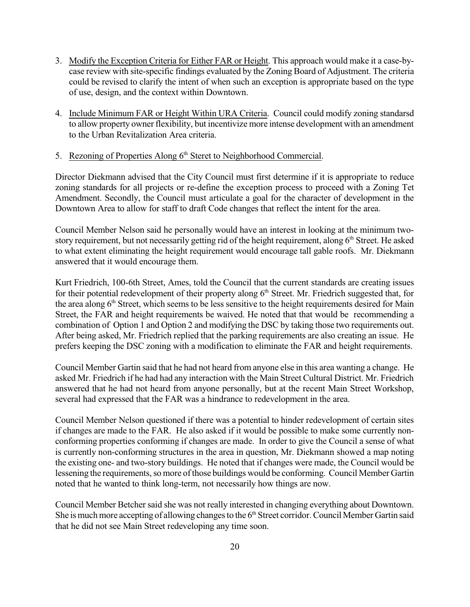- 3. Modify the Exception Criteria for Either FAR or Height. This approach would make it a case-bycase review with site-specific findings evaluated by the Zoning Board of Adjustment. The criteria could be revised to clarify the intent of when such an exception is appropriate based on the type of use, design, and the context within Downtown.
- 4. Include Minimum FAR or Height Within URA Criteria. Council could modify zoning standarsd to allow property owner flexibility, but incentivize more intense development with an amendment to the Urban Revitalization Area criteria.

## 5. Rezoning of Properties Along 6<sup>th</sup> Steret to Neighborhood Commercial.

Director Diekmann advised that the City Council must first determine if it is appropriate to reduce zoning standards for all projects or re-define the exception process to proceed with a Zoning Tet Amendment. Secondly, the Council must articulate a goal for the character of development in the Downtown Area to allow for staff to draft Code changes that reflect the intent for the area.

Council Member Nelson said he personally would have an interest in looking at the minimum twostory requirement, but not necessarily getting rid of the height requirement, along 6<sup>th</sup> Street. He asked to what extent eliminating the height requirement would encourage tall gable roofs. Mr. Diekmann answered that it would encourage them.

Kurt Friedrich, 100-6th Street, Ames, told the Council that the current standards are creating issues for their potential redevelopment of their property along  $6<sup>th</sup>$  Street. Mr. Friedrich suggested that, for the area along 6<sup>th</sup> Street, which seems to be less sensitive to the height requirements desired for Main Street, the FAR and height requirements be waived. He noted that that would be recommending a combination of Option 1 and Option 2 and modifying the DSC by taking those two requirements out. After being asked, Mr. Friedrich replied that the parking requirements are also creating an issue. He prefers keeping the DSC zoning with a modification to eliminate the FAR and height requirements.

Council Member Gartin said that he had not heard from anyone else in this area wanting a change. He asked Mr. Friedrich if he had had any interaction with the Main Street Cultural District. Mr. Friedrich answered that he had not heard from anyone personally, but at the recent Main Street Workshop, several had expressed that the FAR was a hindrance to redevelopment in the area.

Council Member Nelson questioned if there was a potential to hinder redevelopment of certain sites if changes are made to the FAR. He also asked if it would be possible to make some currently nonconforming properties conforming if changes are made. In order to give the Council a sense of what is currently non-conforming structures in the area in question, Mr. Diekmann showed a map noting the existing one- and two-story buildings. He noted that if changes were made, the Council would be lessening the requirements, so more of those buildings would be conforming. Council Member Gartin noted that he wanted to think long-term, not necessarily how things are now.

Council Member Betcher said she was not really interested in changing everything about Downtown. She is much more accepting of allowing changes to the 6<sup>th</sup> Street corridor. Council Member Gartin said that he did not see Main Street redeveloping any time soon.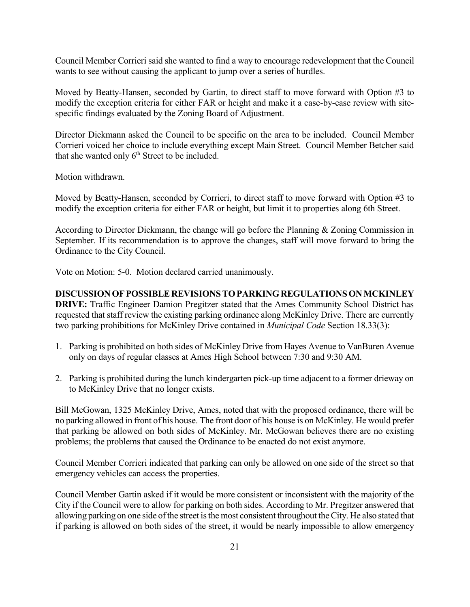Council Member Corrieri said she wanted to find a way to encourage redevelopment that the Council wants to see without causing the applicant to jump over a series of hurdles.

Moved by Beatty-Hansen, seconded by Gartin, to direct staff to move forward with Option #3 to modify the exception criteria for either FAR or height and make it a case-by-case review with sitespecific findings evaluated by the Zoning Board of Adjustment.

Director Diekmann asked the Council to be specific on the area to be included. Council Member Corrieri voiced her choice to include everything except Main Street. Council Member Betcher said that she wanted only  $6<sup>th</sup>$  Street to be included.

Motion withdrawn.

Moved by Beatty-Hansen, seconded by Corrieri, to direct staff to move forward with Option #3 to modify the exception criteria for either FAR or height, but limit it to properties along 6th Street.

According to Director Diekmann, the change will go before the Planning & Zoning Commission in September. If its recommendation is to approve the changes, staff will move forward to bring the Ordinance to the City Council.

Vote on Motion: 5-0. Motion declared carried unanimously.

**DISCUSSIONOFPOSSIBLEREVISIONSTOPARKINGREGULATIONSONMCKINLEY DRIVE:** Traffic Engineer Damion Pregitzer stated that the Ames Community School District has requested that staff review the existing parking ordinance along McKinley Drive. There are currently two parking prohibitions for McKinley Drive contained in *Municipal Code* Section 18.33(3):

- 1. Parking is prohibited on both sides of McKinley Drive from Hayes Avenue to VanBuren Avenue only on days of regular classes at Ames High School between 7:30 and 9:30 AM.
- 2. Parking is prohibited during the lunch kindergarten pick-up time adjacent to a former drieway on to McKinley Drive that no longer exists.

Bill McGowan, 1325 McKinley Drive, Ames, noted that with the proposed ordinance, there will be no parking allowed in front of his house. The front door of his house is on McKinley. He would prefer that parking be allowed on both sides of McKinley. Mr. McGowan believes there are no existing problems; the problems that caused the Ordinance to be enacted do not exist anymore.

Council Member Corrieri indicated that parking can only be allowed on one side of the street so that emergency vehicles can access the properties.

Council Member Gartin asked if it would be more consistent or inconsistent with the majority of the City if the Council were to allow for parking on both sides. According to Mr. Pregitzer answered that allowing parking on one side ofthe street isthe most consistent throughout theCity. He also stated that if parking is allowed on both sides of the street, it would be nearly impossible to allow emergency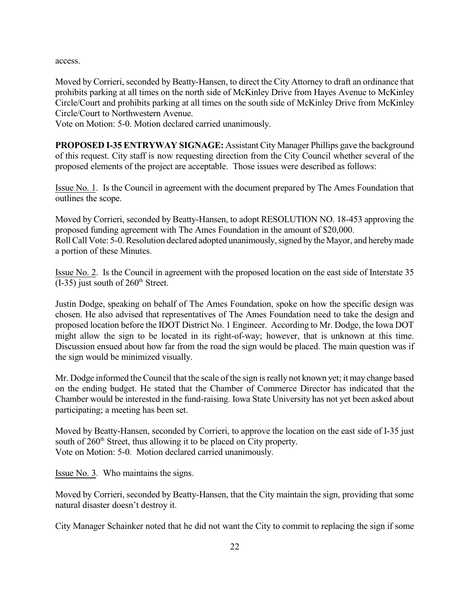access.

Moved by Corrieri, seconded by Beatty-Hansen, to direct the City Attorney to draft an ordinance that prohibits parking at all times on the north side of McKinley Drive from Hayes Avenue to McKinley Circle/Court and prohibits parking at all times on the south side of McKinley Drive from McKinley Circle/Court to Northwestern Avenue.

Vote on Motion: 5-0. Motion declared carried unanimously.

**PROPOSED I-35 ENTRYWAY SIGNAGE:** Assistant City Manager Phillips gave the background of this request. City staff is now requesting direction from the City Council whether several of the proposed elements of the project are acceptable. Those issues were described as follows:

Issue No. 1. Is the Council in agreement with the document prepared by The Ames Foundation that outlines the scope.

Moved by Corrieri, seconded by Beatty-Hansen, to adopt RESOLUTION NO. 18-453 approving the proposed funding agreement with The Ames Foundation in the amount of \$20,000. Roll Call Vote: 5-0. Resolution declared adopted unanimously, signed by the Mayor, and hereby made a portion of these Minutes.

Issue No. 2. Is the Council in agreement with the proposed location on the east side of Interstate 35  $(I-35)$  just south of  $260<sup>th</sup>$  Street.

Justin Dodge, speaking on behalf of The Ames Foundation, spoke on how the specific design was chosen. He also advised that representatives of The Ames Foundation need to take the design and proposed location before the IDOT District No. 1 Engineer. According to Mr. Dodge, the Iowa DOT might allow the sign to be located in its right-of-way; however, that is unknown at this time. Discussion ensued about how far from the road the sign would be placed. The main question was if the sign would be minimized visually.

Mr. Dodge informed the Council that the scale of the sign is really not known yet; it may change based on the ending budget. He stated that the Chamber of Commerce Director has indicated that the Chamber would be interested in the fund-raising. Iowa State University has not yet been asked about participating; a meeting has been set.

Moved by Beatty-Hansen, seconded by Corrieri, to approve the location on the east side of I-35 just south of 260<sup>th</sup> Street, thus allowing it to be placed on City property. Vote on Motion: 5-0. Motion declared carried unanimously.

Issue No. 3. Who maintains the signs.

Moved by Corrieri, seconded by Beatty-Hansen, that the City maintain the sign, providing that some natural disaster doesn't destroy it.

City Manager Schainker noted that he did not want the City to commit to replacing the sign if some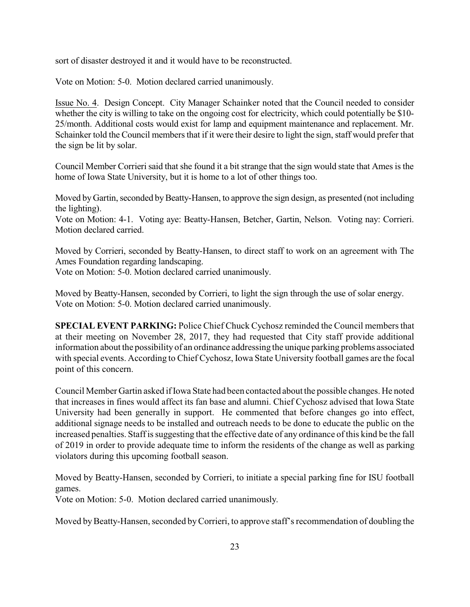sort of disaster destroyed it and it would have to be reconstructed.

Vote on Motion: 5-0. Motion declared carried unanimously.

Issue No. 4. Design Concept. City Manager Schainker noted that the Council needed to consider whether the city is willing to take on the ongoing cost for electricity, which could potentially be \$10-25/month. Additional costs would exist for lamp and equipment maintenance and replacement. Mr. Schainker told the Council members that if it were their desire to light the sign, staff would prefer that the sign be lit by solar.

Council Member Corrieri said that she found it a bit strange that the sign would state that Ames is the home of Iowa State University, but it is home to a lot of other things too.

Moved by Gartin, seconded by Beatty-Hansen, to approve the sign design, as presented (not including the lighting).

Vote on Motion: 4-1. Voting aye: Beatty-Hansen, Betcher, Gartin, Nelson. Voting nay: Corrieri. Motion declared carried.

Moved by Corrieri, seconded by Beatty-Hansen, to direct staff to work on an agreement with The Ames Foundation regarding landscaping.

Vote on Motion: 5-0. Motion declared carried unanimously.

Moved by Beatty-Hansen, seconded by Corrieri, to light the sign through the use of solar energy. Vote on Motion: 5-0. Motion declared carried unanimously.

**SPECIAL EVENT PARKING:** Police Chief Chuck Cychosz reminded the Council members that at their meeting on November 28, 2017, they had requested that City staff provide additional information about the possibility of an ordinance addressing the unique parking problems associated with special events. According to Chief Cychosz, Iowa State University football games are the focal point of this concern.

Council Member Gartin asked if Iowa State had been contacted about the possible changes. He noted that increases in fines would affect its fan base and alumni. Chief Cychosz advised that Iowa State University had been generally in support. He commented that before changes go into effect, additional signage needs to be installed and outreach needs to be done to educate the public on the increased penalties. Staff is suggesting that the effective date of any ordinance of this kind be the fall of 2019 in order to provide adequate time to inform the residents of the change as well as parking violators during this upcoming football season.

Moved by Beatty-Hansen, seconded by Corrieri, to initiate a special parking fine for ISU football games.

Vote on Motion: 5-0. Motion declared carried unanimously.

Moved by Beatty-Hansen, seconded by Corrieri, to approve staff's recommendation of doubling the